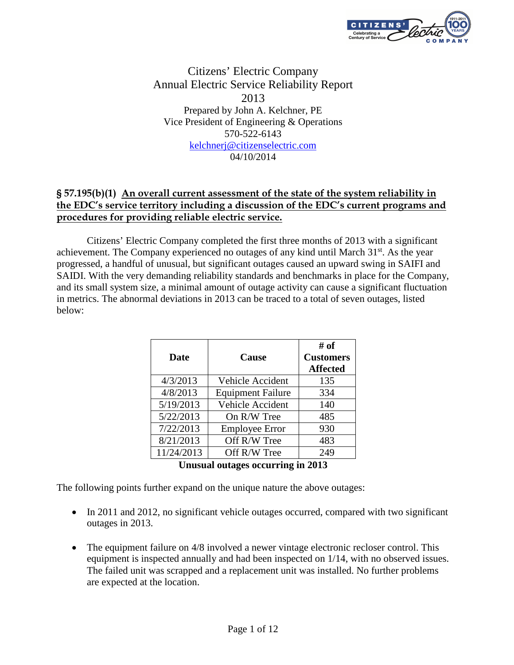

# Citizens' Electric Company Annual Electric Service Reliability Report 2013 Prepared by John A. Kelchner, PE Vice President of Engineering & Operations 570-522-6143 kelchnerj@citizenselectric.com 04/10/2014

# § 57.195(b)(1) An overall current assessment of the state of the system reliability in the EDC's service territory including a discussion of the EDC's current programs and procedures for providing reliable electric service.

 Citizens' Electric Company completed the first three months of 2013 with a significant achievement. The Company experienced no outages of any kind until March  $31<sup>st</sup>$ . As the year progressed, a handful of unusual, but significant outages caused an upward swing in SAIFI and SAIDI. With the very demanding reliability standards and benchmarks in place for the Company, and its small system size, a minimal amount of outage activity can cause a significant fluctuation in metrics. The abnormal deviations in 2013 can be traced to a total of seven outages, listed below:

| <b>Date</b> | Cause                    | # of<br><b>Customers</b><br><b>Affected</b> |
|-------------|--------------------------|---------------------------------------------|
| 4/3/2013    | Vehicle Accident         | 135                                         |
| 4/8/2013    | <b>Equipment Failure</b> | 334                                         |
| 5/19/2013   | Vehicle Accident         | 140                                         |
| 5/22/2013   | On R/W Tree              | 485                                         |
| 7/22/2013   | <b>Employee Error</b>    | 930                                         |
| 8/21/2013   | Off R/W Tree             | 483                                         |
| 11/24/2013  | Off R/W Tree             | 249                                         |

| Unusual outages occurring in 2013 |  |  |  |
|-----------------------------------|--|--|--|
|-----------------------------------|--|--|--|

The following points further expand on the unique nature the above outages:

- In 2011 and 2012, no significant vehicle outages occurred, compared with two significant outages in 2013.
- The equipment failure on 4/8 involved a newer vintage electronic recloser control. This equipment is inspected annually and had been inspected on 1/14, with no observed issues. The failed unit was scrapped and a replacement unit was installed. No further problems are expected at the location.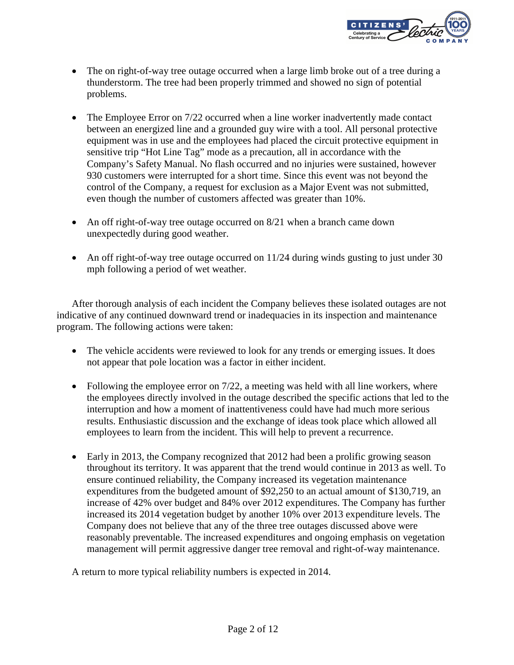

- The on right-of-way tree outage occurred when a large limb broke out of a tree during a thunderstorm. The tree had been properly trimmed and showed no sign of potential problems.
- The Employee Error on 7/22 occurred when a line worker inadvertently made contact between an energized line and a grounded guy wire with a tool. All personal protective equipment was in use and the employees had placed the circuit protective equipment in sensitive trip "Hot Line Tag" mode as a precaution, all in accordance with the Company's Safety Manual. No flash occurred and no injuries were sustained, however 930 customers were interrupted for a short time. Since this event was not beyond the control of the Company, a request for exclusion as a Major Event was not submitted, even though the number of customers affected was greater than 10%.
- An off right-of-way tree outage occurred on 8/21 when a branch came down unexpectedly during good weather.
- An off right-of-way tree outage occurred on 11/24 during winds gusting to just under 30 mph following a period of wet weather.

After thorough analysis of each incident the Company believes these isolated outages are not indicative of any continued downward trend or inadequacies in its inspection and maintenance program. The following actions were taken:

- The vehicle accidents were reviewed to look for any trends or emerging issues. It does not appear that pole location was a factor in either incident.
- Following the employee error on  $7/22$ , a meeting was held with all line workers, where the employees directly involved in the outage described the specific actions that led to the interruption and how a moment of inattentiveness could have had much more serious results. Enthusiastic discussion and the exchange of ideas took place which allowed all employees to learn from the incident. This will help to prevent a recurrence.
- Early in 2013, the Company recognized that 2012 had been a prolific growing season throughout its territory. It was apparent that the trend would continue in 2013 as well. To ensure continued reliability, the Company increased its vegetation maintenance expenditures from the budgeted amount of \$92,250 to an actual amount of \$130,719, an increase of 42% over budget and 84% over 2012 expenditures. The Company has further increased its 2014 vegetation budget by another 10% over 2013 expenditure levels. The Company does not believe that any of the three tree outages discussed above were reasonably preventable. The increased expenditures and ongoing emphasis on vegetation management will permit aggressive danger tree removal and right-of-way maintenance.

A return to more typical reliability numbers is expected in 2014.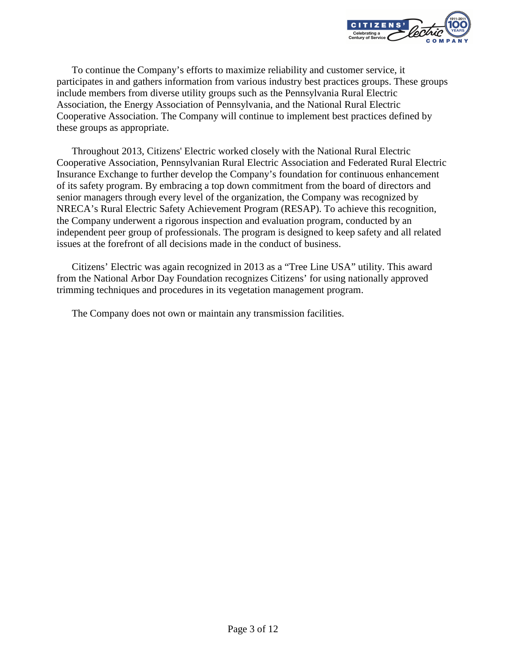

To continue the Company's efforts to maximize reliability and customer service, it participates in and gathers information from various industry best practices groups. These groups include members from diverse utility groups such as the Pennsylvania Rural Electric Association, the Energy Association of Pennsylvania, and the National Rural Electric Cooperative Association. The Company will continue to implement best practices defined by these groups as appropriate.

Throughout 2013, Citizens' Electric worked closely with the National Rural Electric Cooperative Association, Pennsylvanian Rural Electric Association and Federated Rural Electric Insurance Exchange to further develop the Company's foundation for continuous enhancement of its safety program. By embracing a top down commitment from the board of directors and senior managers through every level of the organization, the Company was recognized by NRECA's Rural Electric Safety Achievement Program (RESAP). To achieve this recognition, the Company underwent a rigorous inspection and evaluation program, conducted by an independent peer group of professionals. The program is designed to keep safety and all related issues at the forefront of all decisions made in the conduct of business.

Citizens' Electric was again recognized in 2013 as a "Tree Line USA" utility. This award from the National Arbor Day Foundation recognizes Citizens' for using nationally approved trimming techniques and procedures in its vegetation management program.

The Company does not own or maintain any transmission facilities.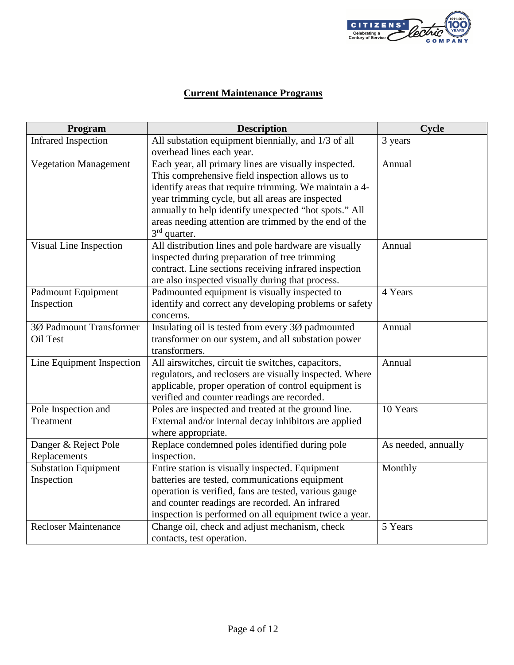

# **Current Maintenance Programs**

| Program                      | <b>Description</b>                                      | Cycle               |
|------------------------------|---------------------------------------------------------|---------------------|
| <b>Infrared Inspection</b>   | All substation equipment biennially, and 1/3 of all     | 3 years             |
|                              | overhead lines each year.                               |                     |
| <b>Vegetation Management</b> | Each year, all primary lines are visually inspected.    | Annual              |
|                              | This comprehensive field inspection allows us to        |                     |
|                              | identify areas that require trimming. We maintain a 4-  |                     |
|                              | year trimming cycle, but all areas are inspected        |                     |
|                              | annually to help identify unexpected "hot spots." All   |                     |
|                              | areas needing attention are trimmed by the end of the   |                     |
|                              | $3rd$ quarter.                                          |                     |
| Visual Line Inspection       | All distribution lines and pole hardware are visually   | Annual              |
|                              | inspected during preparation of tree trimming           |                     |
|                              | contract. Line sections receiving infrared inspection   |                     |
|                              | are also inspected visually during that process.        |                     |
| <b>Padmount Equipment</b>    | Padmounted equipment is visually inspected to           | 4 Years             |
| Inspection                   | identify and correct any developing problems or safety  |                     |
|                              | concerns.                                               |                     |
| 3Ø Padmount Transformer      | Insulating oil is tested from every 3Ø padmounted       | Annual              |
| Oil Test                     | transformer on our system, and all substation power     |                     |
|                              | transformers.                                           |                     |
| Line Equipment Inspection    | All airswitches, circuit tie switches, capacitors,      | Annual              |
|                              | regulators, and reclosers are visually inspected. Where |                     |
|                              | applicable, proper operation of control equipment is    |                     |
|                              | verified and counter readings are recorded.             |                     |
| Pole Inspection and          | Poles are inspected and treated at the ground line.     | 10 Years            |
| Treatment                    | External and/or internal decay inhibitors are applied   |                     |
|                              | where appropriate.                                      |                     |
| Danger & Reject Pole         | Replace condemned poles identified during pole          | As needed, annually |
| Replacements                 | inspection.                                             |                     |
| <b>Substation Equipment</b>  | Entire station is visually inspected. Equipment         | Monthly             |
| Inspection                   | batteries are tested, communications equipment          |                     |
|                              | operation is verified, fans are tested, various gauge   |                     |
|                              | and counter readings are recorded. An infrared          |                     |
|                              | inspection is performed on all equipment twice a year.  |                     |
| <b>Recloser Maintenance</b>  | Change oil, check and adjust mechanism, check           | 5 Years             |
|                              | contacts, test operation.                               |                     |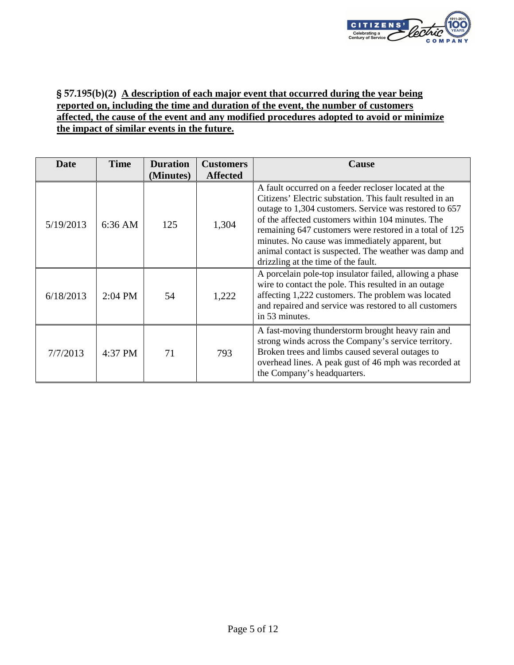

## § 57.195(b)**(2) A description of each major event that occurred during the year being reported on, including the time and duration of the event, the number of customers affected, the cause of the event and any modified procedures adopted to avoid or minimize the impact of similar events in the future.**

| Date      | <b>Time</b> | <b>Duration</b><br>(Minutes) | <b>Customers</b><br><b>Affected</b> | <b>Cause</b>                                                                                                                                                                                                                                                                                                                                                                                                                                  |
|-----------|-------------|------------------------------|-------------------------------------|-----------------------------------------------------------------------------------------------------------------------------------------------------------------------------------------------------------------------------------------------------------------------------------------------------------------------------------------------------------------------------------------------------------------------------------------------|
| 5/19/2013 | $6:36$ AM   | 125                          | 1,304                               | A fault occurred on a feeder recloser located at the<br>Citizens' Electric substation. This fault resulted in an<br>outage to 1,304 customers. Service was restored to 657<br>of the affected customers within 104 minutes. The<br>remaining 647 customers were restored in a total of 125<br>minutes. No cause was immediately apparent, but<br>animal contact is suspected. The weather was damp and<br>drizzling at the time of the fault. |
| 6/18/2013 | $2:04$ PM   | 54                           | 1,222                               | A porcelain pole-top insulator failed, allowing a phase<br>wire to contact the pole. This resulted in an outage<br>affecting 1,222 customers. The problem was located<br>and repaired and service was restored to all customers<br>in 53 minutes.                                                                                                                                                                                             |
| 7/7/2013  | 4:37 PM     | 71                           | 793                                 | A fast-moving thunderstorm brought heavy rain and<br>strong winds across the Company's service territory.<br>Broken trees and limbs caused several outages to<br>overhead lines. A peak gust of 46 mph was recorded at<br>the Company's headquarters.                                                                                                                                                                                         |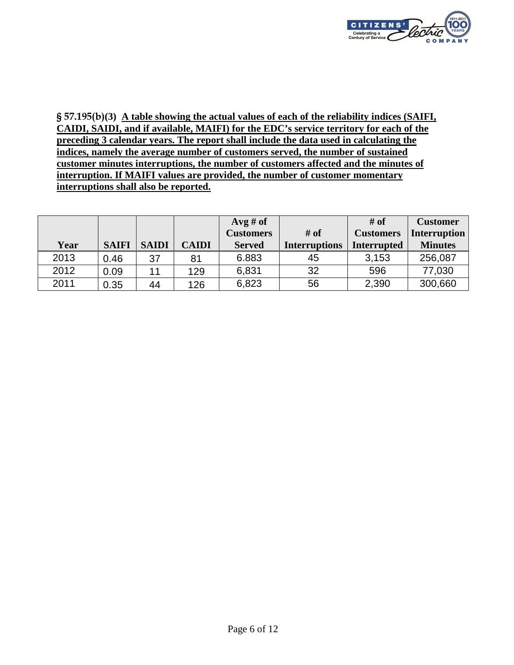

§ 57.195(b)**(3) A table showing the actual values of each of the reliability indices (SAIFI, CAIDI, SAIDI, and if available, MAIFI) for the EDC's service territory for each of the preceding 3 calendar years. The report shall include the data used in calculating the indices, namely the average number of customers served, the number of sustained customer minutes interruptions, the number of customers affected and the minutes of interruption. If MAIFI values are provided, the number of customer momentary interruptions shall also be reported.** 

|      |              |              |              | $Avg \# of$      |                      | $#$ of             | <b>Customer</b> |
|------|--------------|--------------|--------------|------------------|----------------------|--------------------|-----------------|
|      |              |              |              | <b>Customers</b> | # of                 | <b>Customers</b>   | Interruption    |
| Year | <b>SAIFI</b> | <b>SAIDI</b> | <b>CAIDI</b> | <b>Served</b>    | <b>Interruptions</b> | <b>Interrupted</b> | <b>Minutes</b>  |
| 2013 | 0.46         | 37           | 81           | 6.883            | 45                   | 3,153              | 256,087         |
| 2012 | 0.09         | 11           | 129          | 6,831            | 32                   | 596                | 77,030          |
| 2011 | 0.35         | 44           | 126          | 6,823            | 56                   | 2,390              | 300,660         |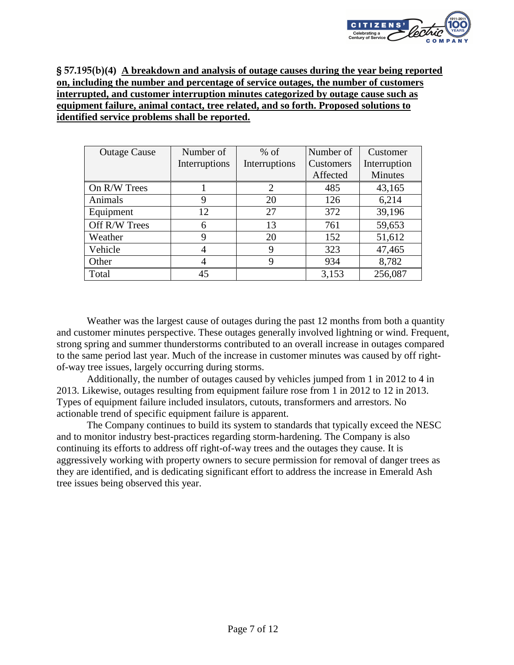

§ 57.195(b)**(4) A breakdown and analysis of outage causes during the year being reported on, including the number and percentage of service outages, the number of customers interrupted, and customer interruption minutes categorized by outage cause such as equipment failure, animal contact, tree related, and so forth. Proposed solutions to identified service problems shall be reported.** 

| <b>Outage Cause</b> | Number of     | $%$ of        | Number of | Customer       |
|---------------------|---------------|---------------|-----------|----------------|
|                     | Interruptions | Interruptions | Customers | Interruption   |
|                     |               |               | Affected  | <b>Minutes</b> |
| On R/W Trees        |               | 2             | 485       | 43,165         |
| Animals             | 9             | 20            | 126       | 6,214          |
| Equipment           | 12            | 27            | 372       | 39,196         |
| Off R/W Trees       | 6             | 13            | 761       | 59,653         |
| Weather             | 9             | 20            | 152       | 51,612         |
| Vehicle             | 4             | 9             | 323       | 47,465         |
| Other               |               |               | 934       | 8,782          |
| Total               | 45            |               | 3,153     | 256,087        |

 Weather was the largest cause of outages during the past 12 months from both a quantity and customer minutes perspective. These outages generally involved lightning or wind. Frequent, strong spring and summer thunderstorms contributed to an overall increase in outages compared to the same period last year. Much of the increase in customer minutes was caused by off rightof-way tree issues, largely occurring during storms.

Additionally, the number of outages caused by vehicles jumped from 1 in 2012 to 4 in 2013. Likewise, outages resulting from equipment failure rose from 1 in 2012 to 12 in 2013. Types of equipment failure included insulators, cutouts, transformers and arrestors. No actionable trend of specific equipment failure is apparent.

 The Company continues to build its system to standards that typically exceed the NESC and to monitor industry best-practices regarding storm-hardening. The Company is also continuing its efforts to address off right-of-way trees and the outages they cause. It is aggressively working with property owners to secure permission for removal of danger trees as they are identified, and is dedicating significant effort to address the increase in Emerald Ash tree issues being observed this year.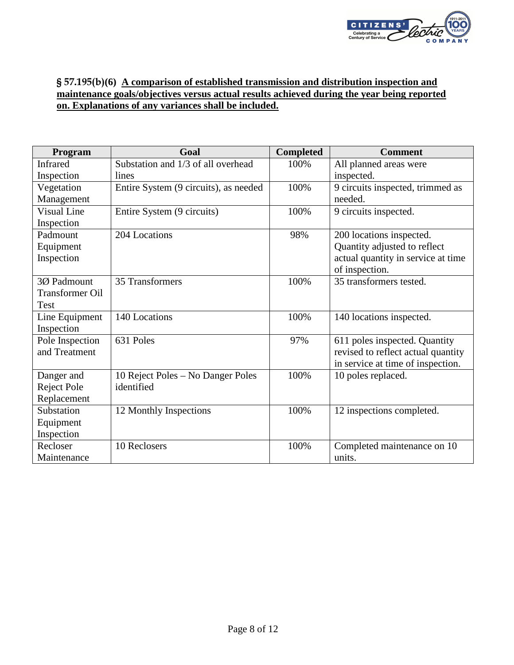

## § 57.195(b)**(6) A comparison of established transmission and distribution inspection and maintenance goals/objectives versus actual results achieved during the year being reported on. Explanations of any variances shall be included.**

| Program                | Goal                                  | <b>Completed</b> | <b>Comment</b>                     |
|------------------------|---------------------------------------|------------------|------------------------------------|
| <b>Infrared</b>        | Substation and 1/3 of all overhead    | 100%             | All planned areas were             |
| Inspection             | lines                                 |                  | inspected.                         |
| Vegetation             | Entire System (9 circuits), as needed | 100%             | 9 circuits inspected, trimmed as   |
| Management             |                                       |                  | needed.                            |
| Visual Line            | Entire System (9 circuits)            | 100%             | 9 circuits inspected.              |
| Inspection             |                                       |                  |                                    |
| Padmount               | 204 Locations                         | 98%              | 200 locations inspected.           |
| Equipment              |                                       |                  | Quantity adjusted to reflect       |
| Inspection             |                                       |                  | actual quantity in service at time |
|                        |                                       |                  | of inspection.                     |
| 3Ø Padmount            | 35 Transformers                       | 100%             | 35 transformers tested.            |
| <b>Transformer Oil</b> |                                       |                  |                                    |
| Test                   |                                       |                  |                                    |
| Line Equipment         | 140 Locations                         | 100%             | 140 locations inspected.           |
| Inspection             |                                       |                  |                                    |
| Pole Inspection        | 631 Poles                             | 97%              | 611 poles inspected. Quantity      |
| and Treatment          |                                       |                  | revised to reflect actual quantity |
|                        |                                       |                  | in service at time of inspection.  |
| Danger and             | 10 Reject Poles – No Danger Poles     | 100%             | 10 poles replaced.                 |
| Reject Pole            | identified                            |                  |                                    |
| Replacement            |                                       |                  |                                    |
| Substation             | 12 Monthly Inspections                | 100%             | 12 inspections completed.          |
| Equipment              |                                       |                  |                                    |
| Inspection             |                                       |                  |                                    |
| Recloser               | 10 Reclosers                          | 100%             | Completed maintenance on 10        |
| Maintenance            |                                       |                  | units.                             |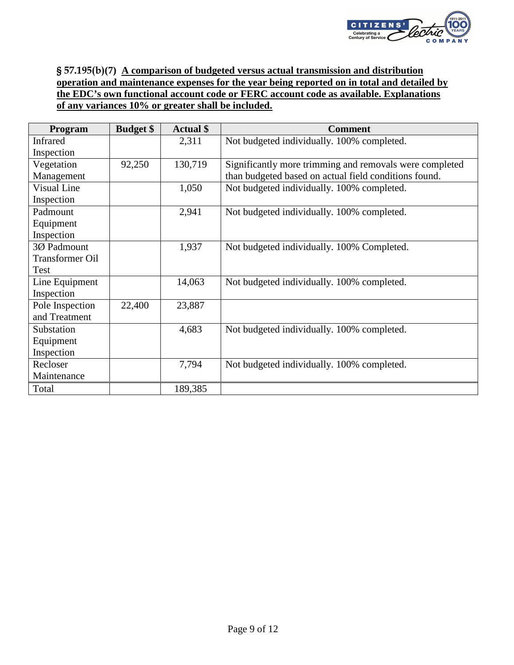

## § 57.195(b)**(7) A comparison of budgeted versus actual transmission and distribution operation and maintenance expenses for the year being reported on in total and detailed by the EDC's own functional account code or FERC account code as available. Explanations of any variances 10% or greater shall be included.**

| <b>Program</b>         | <b>Budget</b> \$ | <b>Actual</b> \$ | <b>Comment</b>                                          |
|------------------------|------------------|------------------|---------------------------------------------------------|
| Infrared               |                  | 2,311            | Not budgeted individually. 100% completed.              |
| Inspection             |                  |                  |                                                         |
| Vegetation             | 92,250           | 130,719          | Significantly more trimming and removals were completed |
| Management             |                  |                  | than budgeted based on actual field conditions found.   |
| <b>Visual Line</b>     |                  | 1,050            | Not budgeted individually. 100% completed.              |
| Inspection             |                  |                  |                                                         |
| Padmount               |                  | 2,941            | Not budgeted individually. 100% completed.              |
| Equipment              |                  |                  |                                                         |
| Inspection             |                  |                  |                                                         |
| 3Ø Padmount            |                  | 1,937            | Not budgeted individually. 100% Completed.              |
| <b>Transformer Oil</b> |                  |                  |                                                         |
| Test                   |                  |                  |                                                         |
| Line Equipment         |                  | 14,063           | Not budgeted individually. 100% completed.              |
| Inspection             |                  |                  |                                                         |
| Pole Inspection        | 22,400           | 23,887           |                                                         |
| and Treatment          |                  |                  |                                                         |
| Substation             |                  | 4,683            | Not budgeted individually. 100% completed.              |
| Equipment              |                  |                  |                                                         |
| Inspection             |                  |                  |                                                         |
| Recloser               |                  | 7,794            | Not budgeted individually. 100% completed.              |
| Maintenance            |                  |                  |                                                         |
| Total                  |                  | 189,385          |                                                         |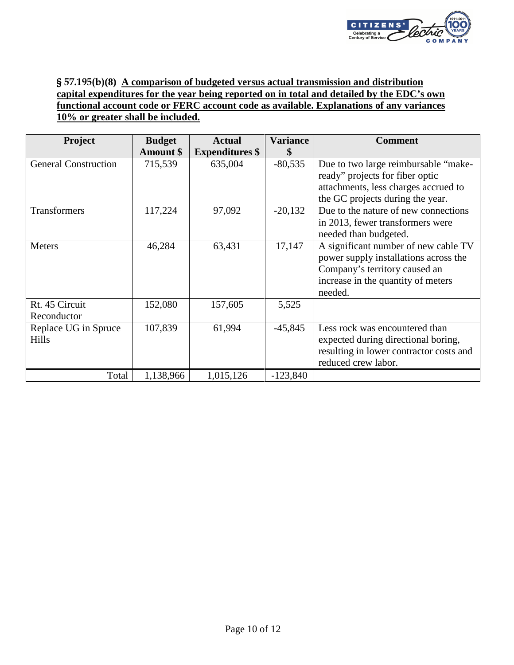

## § 57.195(b)**(8) A comparison of budgeted versus actual transmission and distribution capital expenditures for the year being reported on in total and detailed by the EDC's own functional account code or FERC account code as available. Explanations of any variances 10% or greater shall be included.**

| <b>Project</b>                       | <b>Budget</b><br><b>Amount \$</b> | <b>Actual</b><br><b>Expenditures</b> \$ | <b>Variance</b><br>\$ | <b>Comment</b>                                                                                                                                                  |
|--------------------------------------|-----------------------------------|-----------------------------------------|-----------------------|-----------------------------------------------------------------------------------------------------------------------------------------------------------------|
| <b>General Construction</b>          | 715,539                           | 635,004                                 | $-80,535$             | Due to two large reimbursable "make-<br>ready" projects for fiber optic<br>attachments, less charges accrued to<br>the GC projects during the year.             |
| Transformers                         | 117,224                           | 97,092                                  | $-20,132$             | Due to the nature of new connections<br>in 2013, fewer transformers were<br>needed than budgeted.                                                               |
| <b>Meters</b>                        | 46,284                            | 63,431                                  | 17,147                | A significant number of new cable TV<br>power supply installations across the<br>Company's territory caused an<br>increase in the quantity of meters<br>needed. |
| Rt. 45 Circuit<br>Reconductor        | 152,080                           | 157,605                                 | 5,525                 |                                                                                                                                                                 |
| Replace UG in Spruce<br><b>Hills</b> | 107,839                           | 61,994                                  | $-45,845$             | Less rock was encountered than<br>expected during directional boring,<br>resulting in lower contractor costs and<br>reduced crew labor.                         |
| Total                                | 1,138,966                         | 1,015,126                               | $-123,840$            |                                                                                                                                                                 |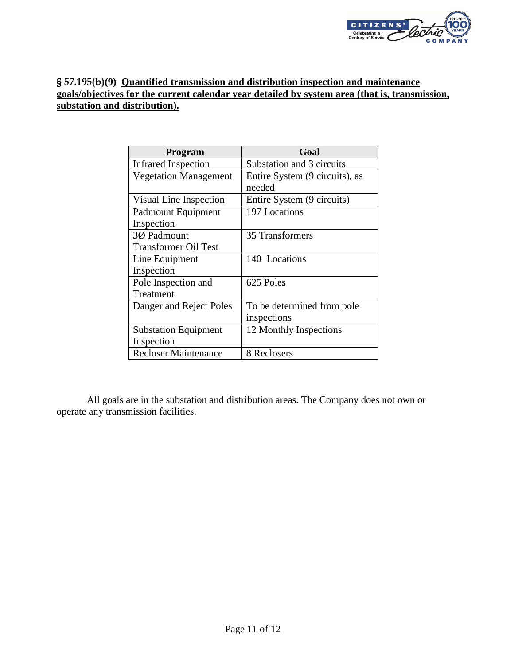

#### § 57.195(b)**(9) Quantified transmission and distribution inspection and maintenance goals/objectives for the current calendar year detailed by system area (that is, transmission, substation and distribution).**

| <b>Program</b>               | Goal                           |
|------------------------------|--------------------------------|
| <b>Infrared Inspection</b>   | Substation and 3 circuits      |
| <b>Vegetation Management</b> | Entire System (9 circuits), as |
|                              | needed                         |
| Visual Line Inspection       | Entire System (9 circuits)     |
| Padmount Equipment           | 197 Locations                  |
| Inspection                   |                                |
| 30 Padmount                  | 35 Transformers                |
| <b>Transformer Oil Test</b>  |                                |
| Line Equipment               | 140 Locations                  |
| Inspection                   |                                |
| Pole Inspection and          | 625 Poles                      |
| Treatment                    |                                |
| Danger and Reject Poles      | To be determined from pole     |
|                              | inspections                    |
| <b>Substation Equipment</b>  | 12 Monthly Inspections         |
| Inspection                   |                                |
| <b>Recloser Maintenance</b>  | 8 Reclosers                    |

All goals are in the substation and distribution areas. The Company does not own or operate any transmission facilities.